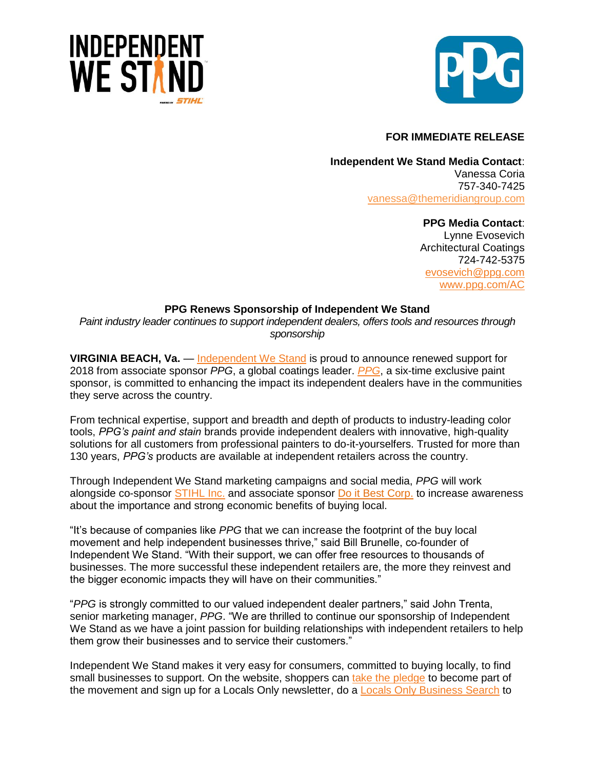



## **FOR IMMEDIATE RELEASE**

**Independent We Stand Media Contact**: Vanessa Coria 757-340-7425 vanessa[@themeridiangroup.](mailto:vanessa@themeridiangroup.com)com

> **PPG Media Contact**: Lynne Evosevich Architectural Coatings 724-742-5375 [evosevich@ppg.com](mailto:evosevich@ppg.com) [www.ppg.com/AC](http://www.ppg.com/AC)

## **PPG Renews Sponsorship of Independent We Stand**

*Paint industry leader continues to support independent dealers, offers tools and resources through sponsorship*

**VIRGINIA BEACH, Va.** — [Independent We Stand](http://www.independentwestand.org/) is proud to announce renewed support for 2018 from associate sponsor *PPG*, a global coatings leader. *[PPG](https://www.ppgpaints.com/home)*, a six-time exclusive paint sponsor, is committed to enhancing the impact its independent dealers have in the communities they serve across the country.

From technical expertise, support and breadth and depth of products to industry-leading color tools, *PPG's paint and stain* brands provide independent dealers with innovative, high-quality solutions for all customers from professional painters to do-it-yourselfers. Trusted for more than 130 years, *PPG's* products are available at independent retailers across the country.

Through Independent We Stand marketing campaigns and social media, *PPG* will work alongside co-sponsor [STIHL Inc.](http://www.stihlusa.com/) and associate sponsor [Do it Best Corp.](http://www.doitbestcorp.com/Pages/Welcome.aspx) to increase awareness about the importance and strong economic benefits of buying local.

"It's because of companies like *PPG* that we can increase the footprint of the buy local movement and help independent businesses thrive," said Bill Brunelle, co-founder of Independent We Stand. "With their support, we can offer free resources to thousands of businesses. The more successful these independent retailers are, the more they reinvest and the bigger economic impacts they will have on their communities."

"*PPG* is strongly committed to our valued independent dealer partners," said John Trenta, senior marketing manager, *PPG*. "We are thrilled to continue our sponsorship of Independent We Stand as we have a joint passion for building relationships with independent retailers to help them grow their businesses and to service their customers."

Independent We Stand makes it very easy for consumers, committed to buying locally, to find small businesses to support. On the website, shoppers can [take the pledge](https://www.independentwestand.org/take-a-stand/join-the-movement/) to become part of the movement and sign up for a Locals Only newsletter, do a [Locals Only Business Search](https://www.independentwestand.org/support-independent-business/search/) to